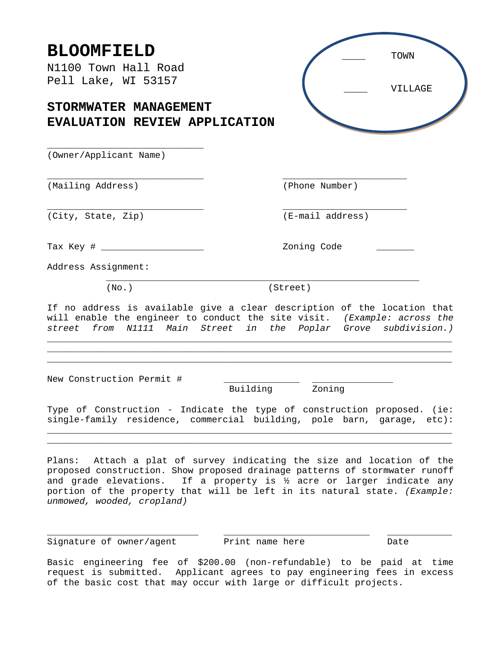| <b>BLOOMFIELD</b><br>N1100 Town Hall Road<br>Pell Lake, WI 53157                                                                                                                                                                                                                                                                                     | TOWN<br>VILLAGE  |
|------------------------------------------------------------------------------------------------------------------------------------------------------------------------------------------------------------------------------------------------------------------------------------------------------------------------------------------------------|------------------|
| STORMWATER MANAGEMENT<br>EVALUATION REVIEW APPLICATION                                                                                                                                                                                                                                                                                               |                  |
| (Owner/Applicant Name)                                                                                                                                                                                                                                                                                                                               |                  |
| (Mailing Address)                                                                                                                                                                                                                                                                                                                                    | (Phone Number)   |
| (City, State, Zip)                                                                                                                                                                                                                                                                                                                                   | (E-mail address) |
|                                                                                                                                                                                                                                                                                                                                                      | Zoning Code      |
| Address Assignment:<br>(No.)                                                                                                                                                                                                                                                                                                                         | (Street)         |
| If no address is available give a clear description of the location that<br>will enable the engineer to conduct the site visit. (Example: across the<br>street from N1111 Main Street in the Poplar Grove subdivision.)                                                                                                                              |                  |
| New Construction Permit #<br>Building                                                                                                                                                                                                                                                                                                                | Zoning           |
| Type of Construction - Indicate the type of construction proposed. (ie:<br>single-family residence, commercial building, pole barn, garage, etc):                                                                                                                                                                                                    |                  |
| Plans: Attach a plat of survey indicating the size and location of the<br>proposed construction. Show proposed drainage patterns of stormwater runoff<br>and grade elevations. If a property is $\frac{1}{2}$ acre or larger indicate any<br>portion of the property that will be left in its natural state. (Example:<br>unmowed, wooded, cropland) |                  |

\_\_\_\_\_\_\_\_\_\_\_\_\_\_\_\_\_\_\_\_\_\_\_\_\_\_\_\_ \_\_\_\_\_\_\_\_\_\_\_\_\_\_\_\_\_\_\_\_\_\_\_\_\_\_\_ \_\_\_\_\_\_\_\_\_\_\_\_ Signature of owner/agent Print name here Print name Nate

Basic engineering fee of \$200.00 (non-refundable) to be paid at time request is submitted. Applicant agrees to pay engineering fees in excess of the basic cost that may occur with large or difficult projects.